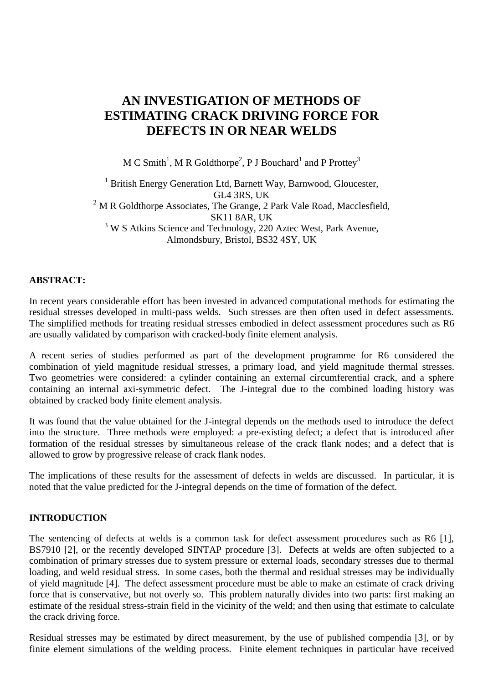# **AN INVESTIGATION OF METHODS OF ESTIMATING CRACK DRIVING FORCE FOR DEFECTS IN OR NEAR WELDS**

M C Smith<sup>1</sup>, M R Goldthorpe<sup>2</sup>, P J Bouchard<sup>1</sup> and P Prottey<sup>3</sup>

<sup>1</sup> British Energy Generation Ltd, Barnett Way, Barnwood, Gloucester, GL4 3RS, UK  $2^2$  M R Goldthorpe Associates, The Grange, 2 Park Vale Road, Macclesfield, SK11 8AR, UK <sup>3</sup> W S Atkins Science and Technology, 220 Aztec West, Park Avenue, Almondsbury, Bristol, BS32 4SY, UK

# **ABSTRACT:**

In recent years considerable effort has been invested in advanced computational methods for estimating the residual stresses developed in multi-pass welds. Such stresses are then often used in defect assessments. The simplified methods for treating residual stresses embodied in defect assessment procedures such as R6 are usually validated by comparison with cracked-body finite element analysis.

A recent series of studies performed as part of the development programme for R6 considered the combination of yield magnitude residual stresses, a primary load, and yield magnitude thermal stresses. Two geometries were considered: a cylinder containing an external circumferential crack, and a sphere containing an internal axi-symmetric defect. The J-integral due to the combined loading history was obtained by cracked body finite element analysis.

It was found that the value obtained for the J-integral depends on the methods used to introduce the defect into the structure. Three methods were employed: a pre-existing defect; a defect that is introduced after formation of the residual stresses by simultaneous release of the crack flank nodes; and a defect that is allowed to grow by progressive release of crack flank nodes.

The implications of these results for the assessment of defects in welds are discussed. In particular, it is noted that the value predicted for the J-integral depends on the time of formation of the defect.

#### **INTRODUCTION**

The sentencing of defects at welds is a common task for defect assessment procedures such as R6 [1], BS7910 [2], or the recently developed SINTAP procedure [3]. Defects at welds are often subjected to a combination of primary stresses due to system pressure or external loads, secondary stresses due to thermal loading, and weld residual stress. In some cases, both the thermal and residual stresses may be individually of yield magnitude [4]. The defect assessment procedure must be able to make an estimate of crack driving force that is conservative, but not overly so. This problem naturally divides into two parts: first making an estimate of the residual stress-strain field in the vicinity of the weld; and then using that estimate to calculate the crack driving force.

Residual stresses may be estimated by direct measurement, by the use of published compendia [3], or by finite element simulations of the welding process. Finite element techniques in particular have received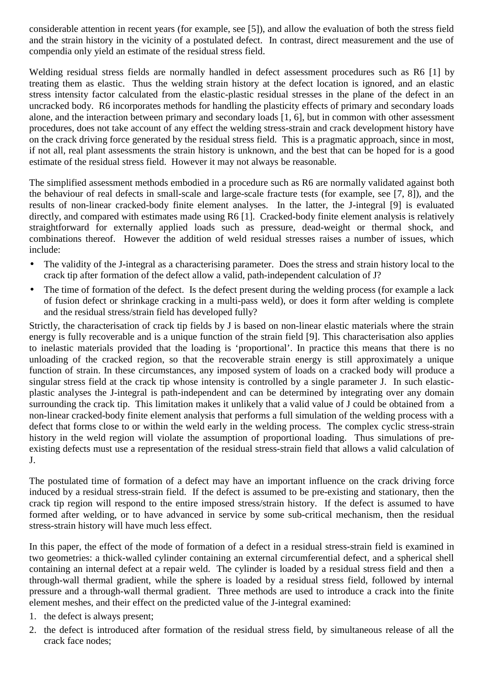considerable attention in recent years (for example, see [5]), and allow the evaluation of both the stress field and the strain history in the vicinity of a postulated defect. In contrast, direct measurement and the use of compendia only yield an estimate of the residual stress field.

Welding residual stress fields are normally handled in defect assessment procedures such as R6 [1] by treating them as elastic. Thus the welding strain history at the defect location is ignored, and an elastic stress intensity factor calculated from the elastic-plastic residual stresses in the plane of the defect in an uncracked body. R6 incorporates methods for handling the plasticity effects of primary and secondary loads alone, and the interaction between primary and secondary loads [1, 6], but in common with other assessment procedures, does not take account of any effect the welding stress-strain and crack development history have on the crack driving force generated by the residual stress field. This is a pragmatic approach, since in most, if not all, real plant assessments the strain history is unknown, and the best that can be hoped for is a good estimate of the residual stress field. However it may not always be reasonable.

The simplified assessment methods embodied in a procedure such as R6 are normally validated against both the behaviour of real defects in small-scale and large-scale fracture tests (for example, see [7, 8]), and the results of non-linear cracked-body finite element analyses. In the latter, the J-integral [9] is evaluated directly, and compared with estimates made using R6 [1]. Cracked-body finite element analysis is relatively straightforward for externally applied loads such as pressure, dead-weight or thermal shock, and combinations thereof. However the addition of weld residual stresses raises a number of issues, which include:

- The validity of the J-integral as a characterising parameter. Does the stress and strain history local to the crack tip after formation of the defect allow a valid, path-independent calculation of J?
- The time of formation of the defect. Is the defect present during the welding process (for example a lack of fusion defect or shrinkage cracking in a multi-pass weld), or does it form after welding is complete and the residual stress/strain field has developed fully?

Strictly, the characterisation of crack tip fields by J is based on non-linear elastic materials where the strain energy is fully recoverable and is a unique function of the strain field [9]. This characterisation also applies to inelastic materials provided that the loading is 'proportional'. In practice this means that there is no unloading of the cracked region, so that the recoverable strain energy is still approximately a unique function of strain. In these circumstances, any imposed system of loads on a cracked body will produce a singular stress field at the crack tip whose intensity is controlled by a single parameter J. In such elasticplastic analyses the J-integral is path-independent and can be determined by integrating over any domain surrounding the crack tip. This limitation makes it unlikely that a valid value of J could be obtained from a non-linear cracked-body finite element analysis that performs a full simulation of the welding process with a defect that forms close to or within the weld early in the welding process. The complex cyclic stress-strain history in the weld region will violate the assumption of proportional loading. Thus simulations of preexisting defects must use a representation of the residual stress-strain field that allows a valid calculation of J.

The postulated time of formation of a defect may have an important influence on the crack driving force induced by a residual stress-strain field. If the defect is assumed to be pre-existing and stationary, then the crack tip region will respond to the entire imposed stress/strain history. If the defect is assumed to have formed after welding, or to have advanced in service by some sub-critical mechanism, then the residual stress-strain history will have much less effect.

In this paper, the effect of the mode of formation of a defect in a residual stress-strain field is examined in two geometries: a thick-walled cylinder containing an external circumferential defect, and a spherical shell containing an internal defect at a repair weld. The cylinder is loaded by a residual stress field and then a through-wall thermal gradient, while the sphere is loaded by a residual stress field, followed by internal pressure and a through-wall thermal gradient. Three methods are used to introduce a crack into the finite element meshes, and their effect on the predicted value of the J-integral examined:

- 1. the defect is always present;
- 2. the defect is introduced after formation of the residual stress field, by simultaneous release of all the crack face nodes;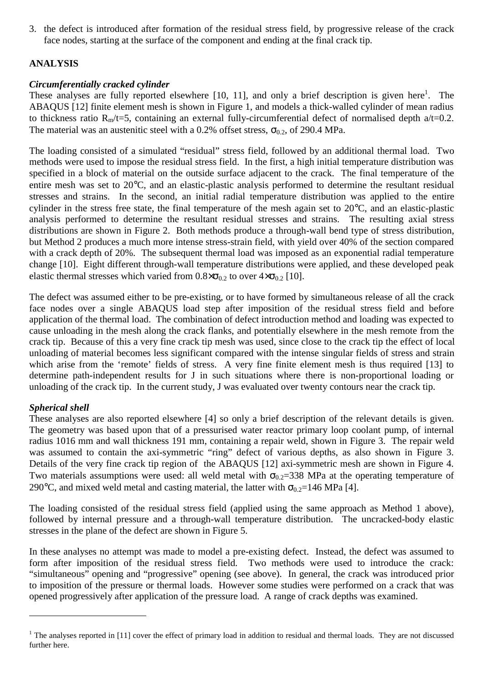3. the defect is introduced after formation of the residual stress field, by progressive release of the crack face nodes, starting at the surface of the component and ending at the final crack tip.

# **ANALYSIS**

# *Circumferentially cracked cylinder*

These analyses are fully reported elsewhere  $[10, 11]$ , and only a brief description is given here<sup>1</sup>. The ABAQUS [12] finite element mesh is shown in Figure 1, and models a thick-walled cylinder of mean radius to thickness ratio  $R_m/t=5$ , containing an external fully-circumferential defect of normalised depth  $a/t=0.2$ . The material was an austenitic steel with a 0.2% offset stress,  $\sigma_{0.2}$ , of 290.4 MPa.

The loading consisted of a simulated "residual" stress field, followed by an additional thermal load. Two methods were used to impose the residual stress field. In the first, a high initial temperature distribution was specified in a block of material on the outside surface adjacent to the crack. The final temperature of the entire mesh was set to 20°C, and an elastic-plastic analysis performed to determine the resultant residual stresses and strains. In the second, an initial radial temperature distribution was applied to the entire cylinder in the stress free state, the final temperature of the mesh again set to 20°C, and an elastic-plastic analysis performed to determine the resultant residual stresses and strains. The resulting axial stress distributions are shown in Figure 2. Both methods produce a through-wall bend type of stress distribution, but Method 2 produces a much more intense stress-strain field, with yield over 40% of the section compared with a crack depth of 20%. The subsequent thermal load was imposed as an exponential radial temperature change [10]. Eight different through-wall temperature distributions were applied, and these developed peak elastic thermal stresses which varied from  $0.8 \times \sigma_{0.2}$  to over  $4 \times \sigma_{0.2}$  [10].

The defect was assumed either to be pre-existing, or to have formed by simultaneous release of all the crack face nodes over a single ABAQUS load step after imposition of the residual stress field and before application of the thermal load. The combination of defect introduction method and loading was expected to cause unloading in the mesh along the crack flanks, and potentially elsewhere in the mesh remote from the crack tip. Because of this a very fine crack tip mesh was used, since close to the crack tip the effect of local unloading of material becomes less significant compared with the intense singular fields of stress and strain which arise from the 'remote' fields of stress. A very fine finite element mesh is thus required [13] to determine path-independent results for J in such situations where there is non-proportional loading or unloading of the crack tip. In the current study, J was evaluated over twenty contours near the crack tip.

# *Spherical shell*

 $\overline{a}$ 

These analyses are also reported elsewhere [4] so only a brief description of the relevant details is given. The geometry was based upon that of a pressurised water reactor primary loop coolant pump, of internal radius 1016 mm and wall thickness 191 mm, containing a repair weld, shown in Figure 3. The repair weld was assumed to contain the axi-symmetric "ring" defect of various depths, as also shown in Figure 3. Details of the very fine crack tip region of the ABAQUS [12] axi-symmetric mesh are shown in Figure 4. Two materials assumptions were used: all weld metal with  $\sigma_{0.2}$ =338 MPa at the operating temperature of 290°C, and mixed weld metal and casting material, the latter with  $\sigma_{0.2}$ =146 MPa [4].

The loading consisted of the residual stress field (applied using the same approach as Method 1 above), followed by internal pressure and a through-wall temperature distribution. The uncracked-body elastic stresses in the plane of the defect are shown in Figure 5.

In these analyses no attempt was made to model a pre-existing defect. Instead, the defect was assumed to form after imposition of the residual stress field. Two methods were used to introduce the crack: "simultaneous" opening and "progressive" opening (see above). In general, the crack was introduced prior to imposition of the pressure or thermal loads. However some studies were performed on a crack that was opened progressively after application of the pressure load. A range of crack depths was examined.

<sup>&</sup>lt;sup>1</sup> The analyses reported in [11] cover the effect of primary load in addition to residual and thermal loads. They are not discussed further here.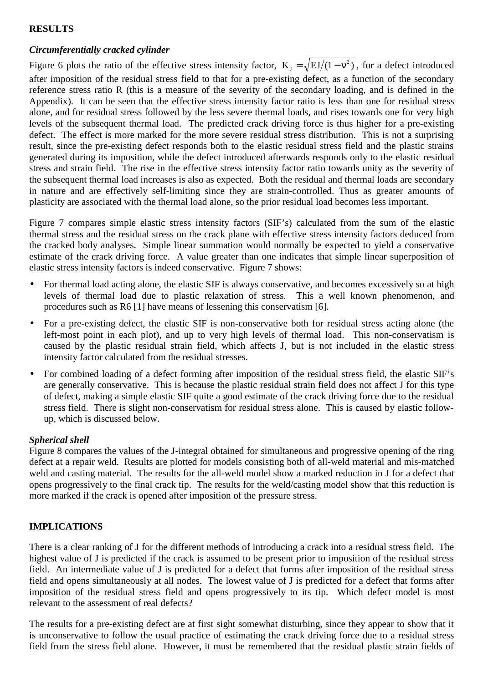#### **RESULTS**

# *Circumferentially cracked cylinder*

Figure 6 plots the ratio of the effective stress intensity factor,  $K_{J} = \sqrt{E J/(1 - v^{2})}$ , for a defect introduced after imposition of the residual stress field to that for a pre-existing defect, as a function of the secondary reference stress ratio R (this is a measure of the severity of the secondary loading, and is defined in the Appendix). It can be seen that the effective stress intensity factor ratio is less than one for residual stress alone, and for residual stress followed by the less severe thermal loads, and rises towards one for very high levels of the subsequent thermal load. The predicted crack driving force is thus higher for a pre-existing defect. The effect is more marked for the more severe residual stress distribution. This is not a surprising result, since the pre-existing defect responds both to the elastic residual stress field and the plastic strains generated during its imposition, while the defect introduced afterwards responds only to the elastic residual stress and strain field. The rise in the effective stress intensity factor ratio towards unity as the severity of the subsequent thermal load increases is also as expected. Both the residual and thermal loads are secondary in nature and are effectively self-limiting since they are strain-controlled. Thus as greater amounts of plasticity are associated with the thermal load alone, so the prior residual load becomes less important.

Figure 7 compares simple elastic stress intensity factors (SIF's) calculated from the sum of the elastic thermal stress and the residual stress on the crack plane with effective stress intensity factors deduced from the cracked body analyses. Simple linear summation would normally be expected to yield a conservative estimate of the crack driving force. A value greater than one indicates that simple linear superposition of elastic stress intensity factors is indeed conservative. Figure 7 shows:

- For thermal load acting alone, the elastic SIF is always conservative, and becomes excessively so at high levels of thermal load due to plastic relaxation of stress. This a well known phenomenon, and procedures such as R6 [1] have means of lessening this conservatism [6].
- For a pre-existing defect, the elastic SIF is non-conservative both for residual stress acting alone (the left-most point in each plot), and up to very high levels of thermal load. This non-conservatism is caused by the plastic residual strain field, which affects J, but is not included in the elastic stress intensity factor calculated from the residual stresses.
- For combined loading of a defect forming after imposition of the residual stress field, the elastic SIF's are generally conservative. This is because the plastic residual strain field does not affect J for this type of defect, making a simple elastic SIF quite a good estimate of the crack driving force due to the residual stress field. There is slight non-conservatism for residual stress alone. This is caused by elastic followup, which is discussed below.

# *Spherical shell*

Figure 8 compares the values of the J-integral obtained for simultaneous and progressive opening of the ring defect at a repair weld. Results are plotted for models consisting both of all-weld material and mis-matched weld and casting material. The results for the all-weld model show a marked reduction in J for a defect that opens progressively to the final crack tip. The results for the weld/casting model show that this reduction is more marked if the crack is opened after imposition of the pressure stress.

# **IMPLICATIONS**

There is a clear ranking of J for the different methods of introducing a crack into a residual stress field. The highest value of J is predicted if the crack is assumed to be present prior to imposition of the residual stress field. An intermediate value of J is predicted for a defect that forms after imposition of the residual stress field and opens simultaneously at all nodes. The lowest value of J is predicted for a defect that forms after imposition of the residual stress field and opens progressively to its tip. Which defect model is most relevant to the assessment of real defects?

The results for a pre-existing defect are at first sight somewhat disturbing, since they appear to show that it is unconservative to follow the usual practice of estimating the crack driving force due to a residual stress field from the stress field alone. However, it must be remembered that the residual plastic strain fields of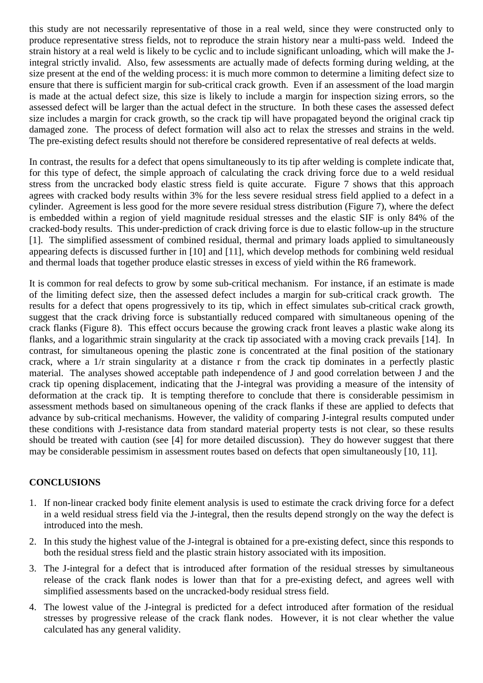this study are not necessarily representative of those in a real weld, since they were constructed only to produce representative stress fields, not to reproduce the strain history near a multi-pass weld. Indeed the strain history at a real weld is likely to be cyclic and to include significant unloading, which will make the Jintegral strictly invalid. Also, few assessments are actually made of defects forming during welding, at the size present at the end of the welding process: it is much more common to determine a limiting defect size to ensure that there is sufficient margin for sub-critical crack growth. Even if an assessment of the load margin is made at the actual defect size, this size is likely to include a margin for inspection sizing errors, so the assessed defect will be larger than the actual defect in the structure. In both these cases the assessed defect size includes a margin for crack growth, so the crack tip will have propagated beyond the original crack tip damaged zone. The process of defect formation will also act to relax the stresses and strains in the weld. The pre-existing defect results should not therefore be considered representative of real defects at welds.

In contrast, the results for a defect that opens simultaneously to its tip after welding is complete indicate that, for this type of defect, the simple approach of calculating the crack driving force due to a weld residual stress from the uncracked body elastic stress field is quite accurate. Figure 7 shows that this approach agrees with cracked body results within 3% for the less severe residual stress field applied to a defect in a cylinder. Agreement is less good for the more severe residual stress distribution (Figure 7), where the defect is embedded within a region of yield magnitude residual stresses and the elastic SIF is only 84% of the cracked-body results. This under-prediction of crack driving force is due to elastic follow-up in the structure [1]. The simplified assessment of combined residual, thermal and primary loads applied to simultaneously appearing defects is discussed further in [10] and [11], which develop methods for combining weld residual and thermal loads that together produce elastic stresses in excess of yield within the R6 framework.

It is common for real defects to grow by some sub-critical mechanism. For instance, if an estimate is made of the limiting defect size, then the assessed defect includes a margin for sub-critical crack growth. The results for a defect that opens progressively to its tip, which in effect simulates sub-critical crack growth, suggest that the crack driving force is substantially reduced compared with simultaneous opening of the crack flanks (Figure 8). This effect occurs because the growing crack front leaves a plastic wake along its flanks, and a logarithmic strain singularity at the crack tip associated with a moving crack prevails [14]. In contrast, for simultaneous opening the plastic zone is concentrated at the final position of the stationary crack, where a 1/r strain singularity at a distance r from the crack tip dominates in a perfectly plastic material. The analyses showed acceptable path independence of J and good correlation between J and the crack tip opening displacement, indicating that the J-integral was providing a measure of the intensity of deformation at the crack tip. It is tempting therefore to conclude that there is considerable pessimism in assessment methods based on simultaneous opening of the crack flanks if these are applied to defects that advance by sub-critical mechanisms. However, the validity of comparing J-integral results computed under these conditions with J-resistance data from standard material property tests is not clear, so these results should be treated with caution (see [4] for more detailed discussion). They do however suggest that there may be considerable pessimism in assessment routes based on defects that open simultaneously [10, 11].

# **CONCLUSIONS**

- 1. If non-linear cracked body finite element analysis is used to estimate the crack driving force for a defect in a weld residual stress field via the J-integral, then the results depend strongly on the way the defect is introduced into the mesh.
- 2. In this study the highest value of the J-integral is obtained for a pre-existing defect, since this responds to both the residual stress field and the plastic strain history associated with its imposition.
- 3. The J-integral for a defect that is introduced after formation of the residual stresses by simultaneous release of the crack flank nodes is lower than that for a pre-existing defect, and agrees well with simplified assessments based on the uncracked-body residual stress field.
- 4. The lowest value of the J-integral is predicted for a defect introduced after formation of the residual stresses by progressive release of the crack flank nodes. However, it is not clear whether the value calculated has any general validity.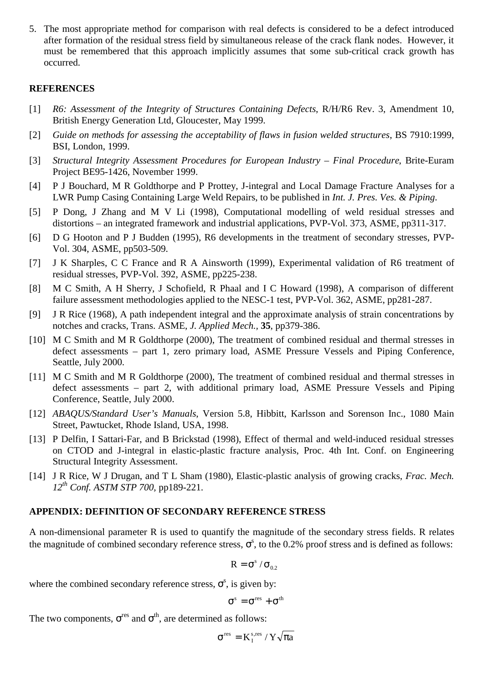5. The most appropriate method for comparison with real defects is considered to be a defect introduced after formation of the residual stress field by simultaneous release of the crack flank nodes. However, it must be remembered that this approach implicitly assumes that some sub-critical crack growth has occurred.

#### **REFERENCES**

- [1] *R6: Assessment of the Integrity of Structures Containing Defects*, R/H/R6 Rev. 3, Amendment 10, British Energy Generation Ltd, Gloucester, May 1999.
- [2] *Guide on methods for assessing the acceptability of flaws in fusion welded structures*, BS 7910:1999, BSI, London, 1999.
- [3] *Structural Integrity Assessment Procedures for European Industry Final Procedure*, Brite-Euram Project BE95-1426, November 1999.
- [4] P J Bouchard, M R Goldthorpe and P Prottey, J-integral and Local Damage Fracture Analyses for a LWR Pump Casing Containing Large Weld Repairs, to be published in *Int. J. Pres. Ves. & Piping*.
- [5] P Dong, J Zhang and M V Li (1998), Computational modelling of weld residual stresses and distortions – an integrated framework and industrial applications, PVP-Vol. 373, ASME, pp311-317.
- [6] D G Hooton and P J Budden (1995), R6 developments in the treatment of secondary stresses, PVP-Vol. 304, ASME, pp503-509.
- [7] J K Sharples, C C France and R A Ainsworth (1999), Experimental validation of R6 treatment of residual stresses, PVP-Vol. 392, ASME, pp225-238.
- [8] M C Smith, A H Sherry, J Schofield, R Phaal and I C Howard (1998), A comparison of different failure assessment methodologies applied to the NESC-1 test, PVP-Vol. 362, ASME, pp281-287.
- [9] J R Rice (1968), A path independent integral and the approximate analysis of strain concentrations by notches and cracks, Trans. ASME, *J. Applied Mech.,* **35**, pp379-386.
- [10] M C Smith and M R Goldthorpe (2000), The treatment of combined residual and thermal stresses in defect assessments – part 1, zero primary load, ASME Pressure Vessels and Piping Conference, Seattle, July 2000.
- [11] M C Smith and M R Goldthorpe (2000), The treatment of combined residual and thermal stresses in defect assessments – part 2, with additional primary load, ASME Pressure Vessels and Piping Conference, Seattle, July 2000.
- [12] *ABAQUS/Standard User's Manuals*, Version 5.8, Hibbitt, Karlsson and Sorenson Inc., 1080 Main Street, Pawtucket, Rhode Island, USA, 1998.
- [13] P Delfin, I Sattari-Far, and B Brickstad (1998), Effect of thermal and weld-induced residual stresses on CTOD and J-integral in elastic-plastic fracture analysis, Proc. 4th Int. Conf. on Engineering Structural Integrity Assessment.
- [14] J R Rice, W J Drugan, and T L Sham (1980), Elastic-plastic analysis of growing cracks, *Frac. Mech. 12th Conf. ASTM STP 700,* pp189-221.

#### **APPENDIX: DEFINITION OF SECONDARY REFERENCE STRESS**

A non-dimensional parameter R is used to quantify the magnitude of the secondary stress fields. R relates the magnitude of combined secondary reference stress,  $\sigma^s$ , to the 0.2% proof stress and is defined as follows:

$$
R=\sigma^s\,/\,\sigma_{_{0.2}}
$$

where the combined secondary reference stress,  $\sigma^s$ , is given by:

$$
\sigma^{\rm s}=\sigma^{\rm res}+\sigma^{\rm th}
$$

The two components,  $\sigma^{res}$  and  $\sigma^{th}$ , are determined as follows:

$$
\sigma^{\rm res} = K^{\rm s,res}_{\rm I} / Y \sqrt{\pi a}
$$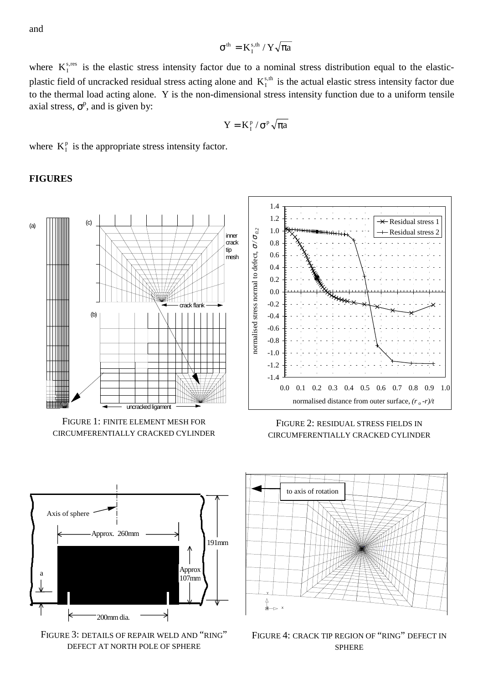and

$$
\sigma^{\text{th}} = K^{\text{s,th}}_{\text{I}} \, / \, Y \sqrt{\pi a}
$$

where  $K_I^{s, res}$  is the elastic stress intensity factor due to a nominal stress distribution equal to the elasticplastic field of uncracked residual stress acting alone and  $K_I^{s,t}$  is the actual elastic stress intensity factor due to the thermal load acting alone. Y is the non-dimensional stress intensity function due to a uniform tensile axial stress,  $\sigma^p$ , and is given by:

$$
Y = K_I^p / \sigma^p \sqrt{\pi a}
$$

where  $K_I^p$  is the appropriate stress intensity factor.

#### **FIGURES**



FIGURE 1: FINITE ELEMENT MESH FOR CIRCUMFERENTIALLY CRACKED CYLINDER



FIGURE 2: RESIDUAL STRESS FIELDS IN CIRCUMFERENTIALLY CRACKED CYLINDER



FIGURE 3: DETAILS OF REPAIR WELD AND "RING" DEFECT AT NORTH POLE OF SPHERE



FIGURE 4: CRACK TIP REGION OF "RING" DEFECT IN SPHERE